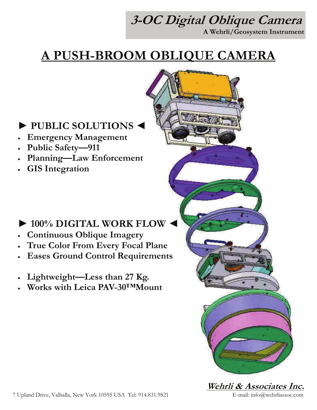# **3-OC Digital Oblique Camera**

**A Wehrli/Geosystem Instrument** 

### **A PUSH-BROOM OBLIQUE CAMERA**

#### **► PUBLIC SOLUTIONS ◄**

- **Emergency Management**
- **Public Safety—911**
- **Planning—Law Enforcement**
- **GIS Integration**

#### **► 100% DIGITAL WORK FLOW ◄**

- **Continuous Oblique Imagery**
- **True Color From Every Focal Plane**
- **Eases Ground Control Requirements**
- Lightweight-Less than 27 Kg.
- **Works with Leica PAV-30™Mount**